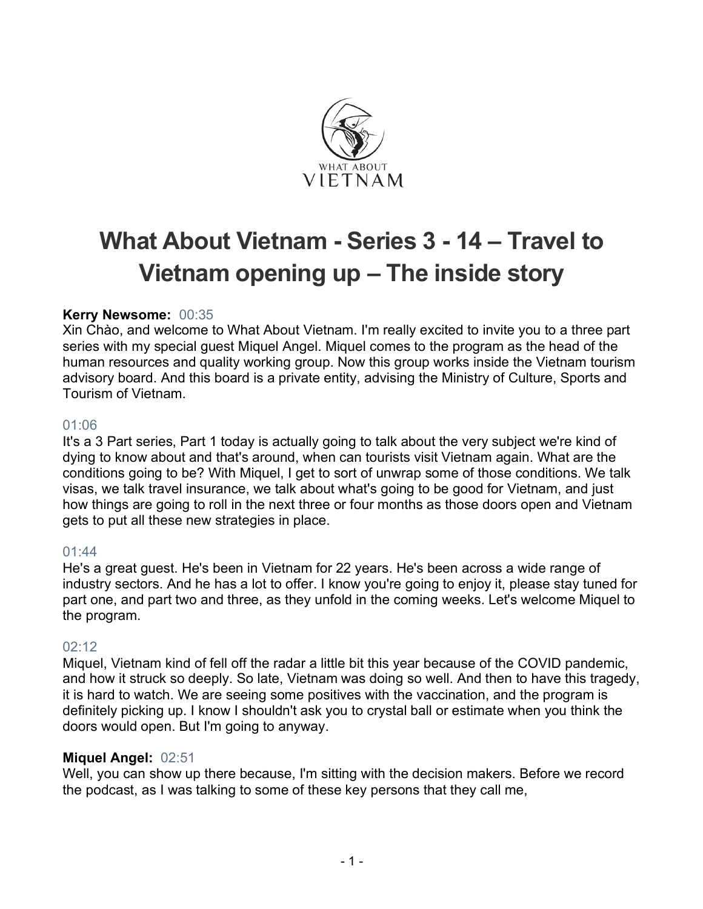

# **What About Vietnam - Series 3 - 14 – Travel to Vietnam opening up – The inside story**

# **Kerry Newsome:** 00:35

Xin Chào, and welcome to What About Vietnam. I'm really excited to invite you to a three part series with my special guest Miquel Angel. Miquel comes to the program as the head of the human resources and quality working group. Now this group works inside the Vietnam tourism advisory board. And this board is a private entity, advising the Ministry of Culture, Sports and Tourism of Vietnam.

## 01:06

It's a 3 Part series, Part 1 today is actually going to talk about the very subject we're kind of dying to know about and that's around, when can tourists visit Vietnam again. What are the conditions going to be? With Miquel, I get to sort of unwrap some of those conditions. We talk visas, we talk travel insurance, we talk about what's going to be good for Vietnam, and just how things are going to roll in the next three or four months as those doors open and Vietnam gets to put all these new strategies in place.

## 01:44

He's a great guest. He's been in Vietnam for 22 years. He's been across a wide range of industry sectors. And he has a lot to offer. I know you're going to enjoy it, please stay tuned for part one, and part two and three, as they unfold in the coming weeks. Let's welcome Miquel to the program.

## 02:12

Miquel, Vietnam kind of fell off the radar a little bit this year because of the COVID pandemic, and how it struck so deeply. So late, Vietnam was doing so well. And then to have this tragedy, it is hard to watch. We are seeing some positives with the vaccination, and the program is definitely picking up. I know I shouldn't ask you to crystal ball or estimate when you think the doors would open. But I'm going to anyway.

## **Miquel Angel:** 02:51

Well, you can show up there because, I'm sitting with the decision makers. Before we record the podcast, as I was talking to some of these key persons that they call me,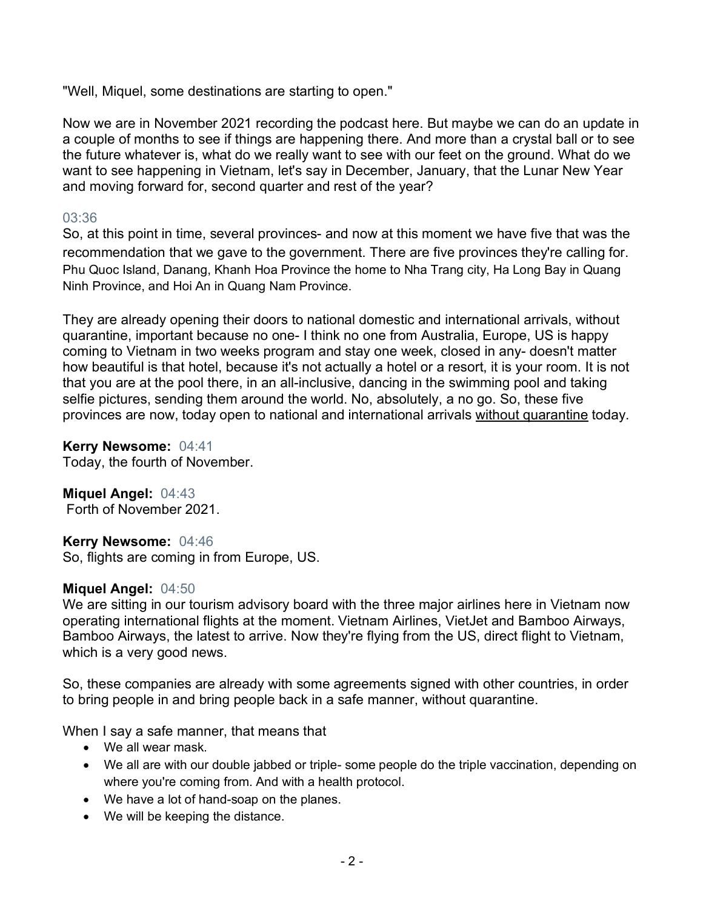"Well, Miquel, some destinations are starting to open."

Now we are in November 2021 recording the podcast here. But maybe we can do an update in a couple of months to see if things are happening there. And more than a crystal ball or to see the future whatever is, what do we really want to see with our feet on the ground. What do we want to see happening in Vietnam, let's say in December, January, that the Lunar New Year and moving forward for, second quarter and rest of the year?

# 03:36

So, at this point in time, several provinces- and now at this moment we have five that was the recommendation that we gave to the government. There are five provinces they're calling for. Phu Quoc Island, Danang, Khanh Hoa Province the home to Nha Trang city, Ha Long Bay in Quang Ninh Province, and Hoi An in Quang Nam Province.

They are already opening their doors to national domestic and international arrivals, without quarantine, important because no one- I think no one from Australia, Europe, US is happy coming to Vietnam in two weeks program and stay one week, closed in any- doesn't matter how beautiful is that hotel, because it's not actually a hotel or a resort, it is your room. It is not that you are at the pool there, in an all-inclusive, dancing in the swimming pool and taking selfie pictures, sending them around the world. No, absolutely, a no go. So, these five provinces are now, today open to national and international arrivals without quarantine today.

**Kerry Newsome:** 04:41

Today, the fourth of November.

**Miquel Angel:** 04:43

Forth of November 2021.

## **Kerry Newsome:** 04:46

So, flights are coming in from Europe, US.

## **Miquel Angel:** 04:50

We are sitting in our tourism advisory board with the three major airlines here in Vietnam now operating international flights at the moment. Vietnam Airlines, VietJet and Bamboo Airways, Bamboo Airways, the latest to arrive. Now they're flying from the US, direct flight to Vietnam, which is a very good news.

So, these companies are already with some agreements signed with other countries, in order to bring people in and bring people back in a safe manner, without quarantine.

When I say a safe manner, that means that

- We all wear mask
- We all are with our double jabbed or triple- some people do the triple vaccination, depending on where you're coming from. And with a health protocol.
- We have a lot of hand-soap on the planes.
- We will be keeping the distance.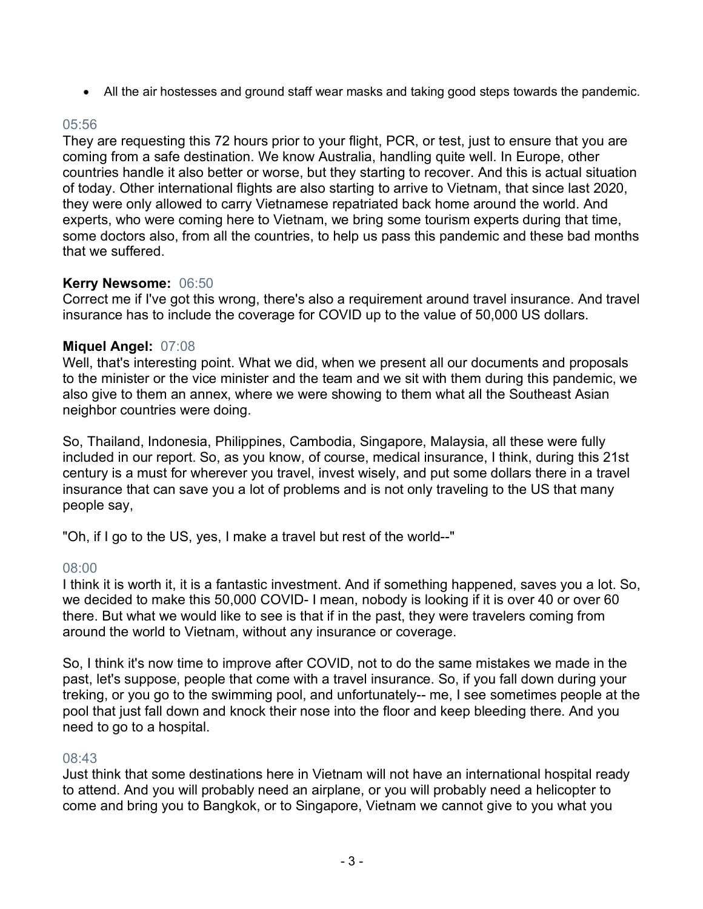• All the air hostesses and ground staff wear masks and taking good steps towards the pandemic.

# 05:56

They are requesting this 72 hours prior to your flight, PCR, or test, just to ensure that you are coming from a safe destination. We know Australia, handling quite well. In Europe, other countries handle it also better or worse, but they starting to recover. And this is actual situation of today. Other international flights are also starting to arrive to Vietnam, that since last 2020, they were only allowed to carry Vietnamese repatriated back home around the world. And experts, who were coming here to Vietnam, we bring some tourism experts during that time, some doctors also, from all the countries, to help us pass this pandemic and these bad months that we suffered.

# **Kerry Newsome:** 06:50

Correct me if I've got this wrong, there's also a requirement around travel insurance. And travel insurance has to include the coverage for COVID up to the value of 50,000 US dollars.

## **Miquel Angel:** 07:08

Well, that's interesting point. What we did, when we present all our documents and proposals to the minister or the vice minister and the team and we sit with them during this pandemic, we also give to them an annex, where we were showing to them what all the Southeast Asian neighbor countries were doing.

So, Thailand, Indonesia, Philippines, Cambodia, Singapore, Malaysia, all these were fully included in our report. So, as you know, of course, medical insurance, I think, during this 21st century is a must for wherever you travel, invest wisely, and put some dollars there in a travel insurance that can save you a lot of problems and is not only traveling to the US that many people say,

"Oh, if I go to the US, yes, I make a travel but rest of the world--"

# 08:00

I think it is worth it, it is a fantastic investment. And if something happened, saves you a lot. So, we decided to make this 50,000 COVID- I mean, nobody is looking if it is over 40 or over 60 there. But what we would like to see is that if in the past, they were travelers coming from around the world to Vietnam, without any insurance or coverage.

So, I think it's now time to improve after COVID, not to do the same mistakes we made in the past, let's suppose, people that come with a travel insurance. So, if you fall down during your treking, or you go to the swimming pool, and unfortunately-- me, I see sometimes people at the pool that just fall down and knock their nose into the floor and keep bleeding there. And you need to go to a hospital.

## 08:43

Just think that some destinations here in Vietnam will not have an international hospital ready to attend. And you will probably need an airplane, or you will probably need a helicopter to come and bring you to Bangkok, or to Singapore, Vietnam we cannot give to you what you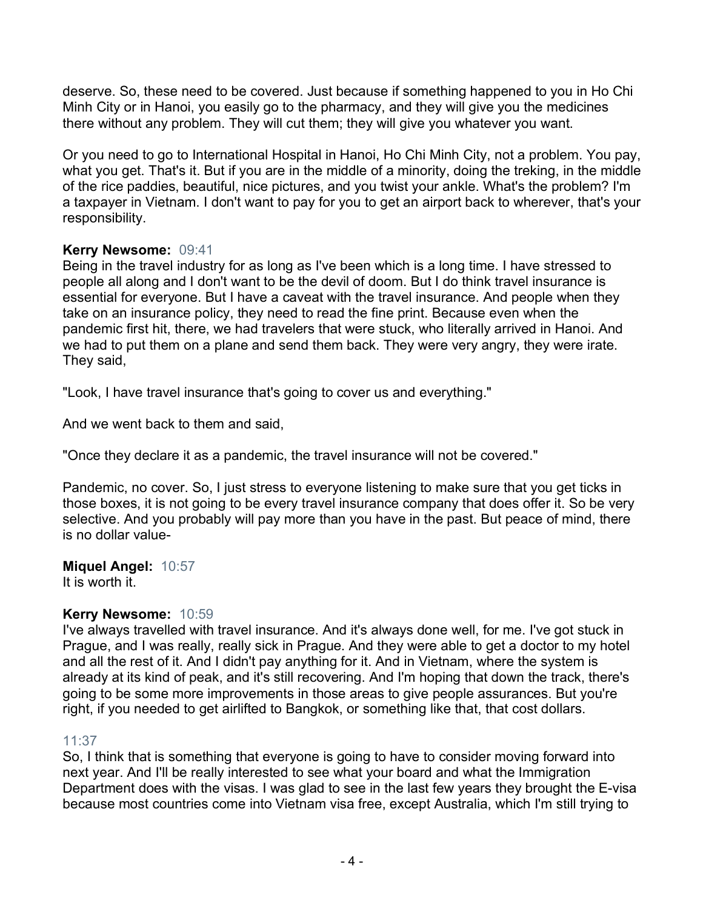deserve. So, these need to be covered. Just because if something happened to you in Ho Chi Minh City or in Hanoi, you easily go to the pharmacy, and they will give you the medicines there without any problem. They will cut them; they will give you whatever you want.

Or you need to go to International Hospital in Hanoi, Ho Chi Minh City, not a problem. You pay, what you get. That's it. But if you are in the middle of a minority, doing the treking, in the middle of the rice paddies, beautiful, nice pictures, and you twist your ankle. What's the problem? I'm a taxpayer in Vietnam. I don't want to pay for you to get an airport back to wherever, that's your responsibility.

# **Kerry Newsome:** 09:41

Being in the travel industry for as long as I've been which is a long time. I have stressed to people all along and I don't want to be the devil of doom. But I do think travel insurance is essential for everyone. But I have a caveat with the travel insurance. And people when they take on an insurance policy, they need to read the fine print. Because even when the pandemic first hit, there, we had travelers that were stuck, who literally arrived in Hanoi. And we had to put them on a plane and send them back. They were very angry, they were irate. They said,

"Look, I have travel insurance that's going to cover us and everything."

And we went back to them and said,

"Once they declare it as a pandemic, the travel insurance will not be covered."

Pandemic, no cover. So, I just stress to everyone listening to make sure that you get ticks in those boxes, it is not going to be every travel insurance company that does offer it. So be very selective. And you probably will pay more than you have in the past. But peace of mind, there is no dollar value-

# **Miquel Angel:** 10:57

It is worth it.

# **Kerry Newsome:** 10:59

I've always travelled with travel insurance. And it's always done well, for me. I've got stuck in Prague, and I was really, really sick in Prague. And they were able to get a doctor to my hotel and all the rest of it. And I didn't pay anything for it. And in Vietnam, where the system is already at its kind of peak, and it's still recovering. And I'm hoping that down the track, there's going to be some more improvements in those areas to give people assurances. But you're right, if you needed to get airlifted to Bangkok, or something like that, that cost dollars.

# 11:37

So, I think that is something that everyone is going to have to consider moving forward into next year. And I'll be really interested to see what your board and what the Immigration Department does with the visas. I was glad to see in the last few years they brought the E-visa because most countries come into Vietnam visa free, except Australia, which I'm still trying to